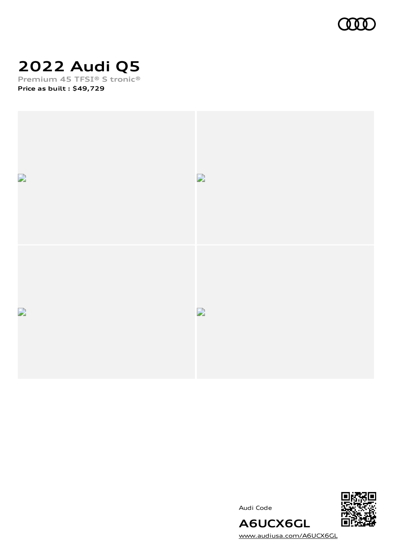

### **2022 Audi Q5**

**Premium 45 TFSI® S tronic® Price as built [:](#page-10-0) \$49,729**



Audi Code



[www.audiusa.com/A6UCX6GL](https://www.audiusa.com/A6UCX6GL)

**A6UCX6GL**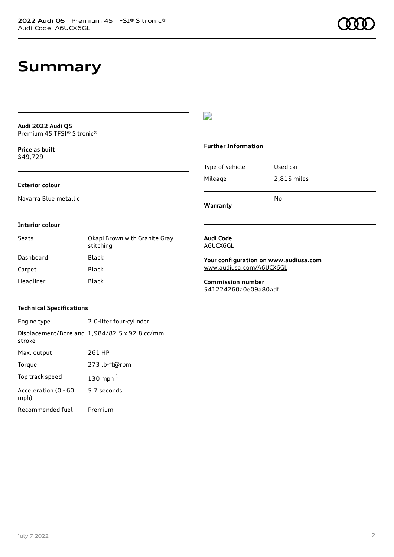### **Summary**

**Audi 2022 Audi Q5** Premium 45 TFSI® S tronic®

**Price as buil[t](#page-10-0)** \$49,729

#### **Exterior colour**

Navarra Blue metallic

### $\overline{\phantom{a}}$

#### **Further Information**

Type of vehicle Used car Mileage 2,815 miles No

**Warranty**

#### **Interior colour**

| Seats     | Okapi Brown with Granite Gray<br>stitching |
|-----------|--------------------------------------------|
| Dashboard | Black                                      |
| Carpet    | Black                                      |
| Headliner | Black                                      |

#### **Audi Code** A6UCX6GL

**Your configuration on www.audiusa.com**

[www.audiusa.com/A6UCX6GL](https://www.audiusa.com/A6UCX6GL)

**Commission number** 541224260a0e09a80adf

#### **Technical Specifications**

| Engine type                  | 2.0-liter four-cylinder                       |
|------------------------------|-----------------------------------------------|
| stroke                       | Displacement/Bore and 1,984/82.5 x 92.8 cc/mm |
| Max. output                  | 261 HP                                        |
| Torque                       | 273 lb-ft@rpm                                 |
| Top track speed              | 130 mph $1$                                   |
| Acceleration (0 - 60<br>mph) | 5.7 seconds                                   |
| Recommended fuel             | Premium                                       |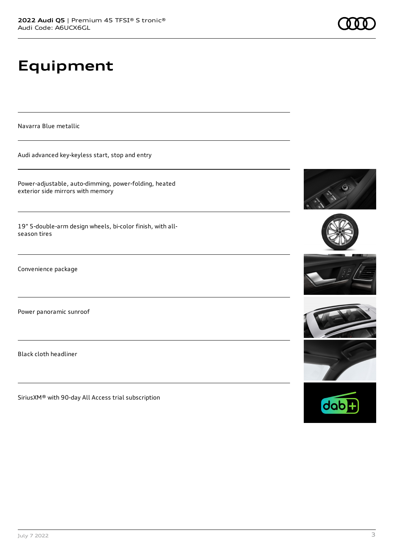## **Equipment**

Navarra Blue metallic

Audi advanced key-keyless start, stop and entry

Power-adjustable, auto-dimming, power-folding, heated exterior side mirrors with memory

19" 5-double-arm design wheels, bi-color finish, with allseason tires

Convenience package

Power panoramic sunroof

Black cloth headliner

SiriusXM® with 90-day All Access trial subscription











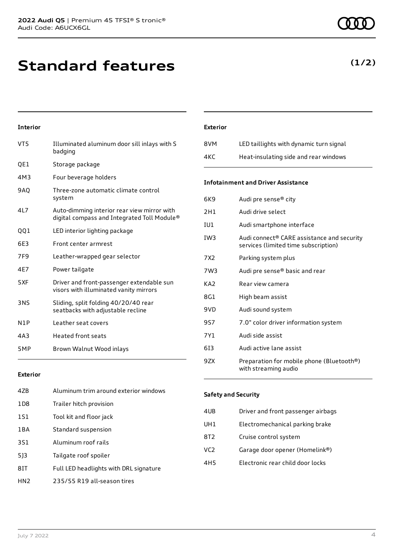### **Standard features**

### **Interior**

| VT5              | Illuminated aluminum door sill inlays with S<br>badging                                    |
|------------------|--------------------------------------------------------------------------------------------|
| QE1              | Storage package                                                                            |
| 4M3              | Four beverage holders                                                                      |
| 9AQ              | Three-zone automatic climate control<br>system                                             |
| 4L7              | Auto-dimming interior rear view mirror with<br>digital compass and Integrated Toll Module® |
| 001              | LED interior lighting package                                                              |
| 6E3              | Front center armrest                                                                       |
| 7F9              | Leather-wrapped gear selector                                                              |
| 4E7              | Power tailgate                                                                             |
| 5XF              | Driver and front-passenger extendable sun<br>visors with illuminated vanity mirrors        |
| 3NS              | Sliding, split folding 40/20/40 rear<br>seatbacks with adjustable recline                  |
| N <sub>1</sub> P | Leather seat covers                                                                        |
| 4A3              | <b>Heated front seats</b>                                                                  |
| 5MP              | Brown Walnut Wood inlays                                                                   |

#### **Exterior**

| 47B             | Aluminum trim around exterior windows  |
|-----------------|----------------------------------------|
| 1D <sub>8</sub> | Trailer hitch provision                |
| 1S1             | Tool kit and floor jack                |
| 1BA             | Standard suspension                    |
| 3S1             | Aluminum roof rails                    |
| 513             | Tailgate roof spoiler                  |
| 8IT             | Full LED headlights with DRL signature |
| HN2             | 235/55 R19 all-season tires            |

### **Exterior**

| 8VM | LED taillights with dynamic turn signal |
|-----|-----------------------------------------|
| 4KC | Heat-insulating side and rear windows   |

### **Infotainment and Driver Assistance**

| 6K9 | Audi pre sense® city                                                                           |
|-----|------------------------------------------------------------------------------------------------|
| 2H1 | Audi drive select                                                                              |
| IU1 | Audi smartphone interface                                                                      |
| IW3 | Audi connect <sup>®</sup> CARE assistance and security<br>services (limited time subscription) |
| 7X2 | Parking system plus                                                                            |
| 7W3 | Audi pre sense® basic and rear                                                                 |
| KA2 | Rear view camera                                                                               |
| 8G1 | High beam assist                                                                               |
| 9VD | Audi sound system                                                                              |
| 9S7 | 7.0" color driver information system                                                           |
| 7Y1 | Audi side assist                                                                               |
| 613 | Audi active lane assist                                                                        |
| 9ZX | Preparation for mobile phone (Bluetooth®)<br>with streaming audio                              |

#### **Safety and Security**

| 4UB             | Driver and front passenger airbags |
|-----------------|------------------------------------|
| UH1             | Electromechanical parking brake    |
| 8T <sub>2</sub> | Cruise control system              |
| VC <sub>2</sub> | Garage door opener (Homelink®)     |
| 4H <sub>5</sub> | Electronic rear child door locks   |
|                 |                                    |

### **(1/2)**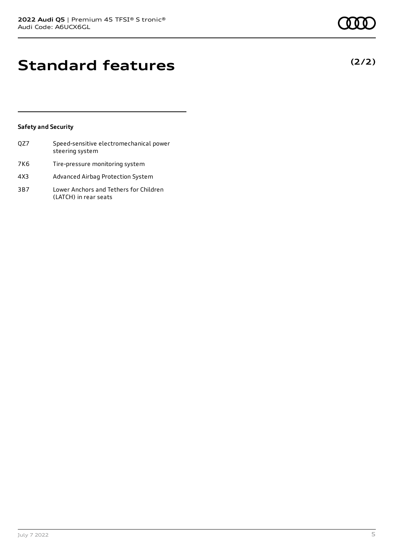### **Standard features**

### **Safety and Security**

| OZ7 | Speed-sensitive electromechanical power<br>steering system      |
|-----|-----------------------------------------------------------------|
| 7K6 | Tire-pressure monitoring system                                 |
| 4X3 | Advanced Airbag Protection System                               |
| 3B7 | Lower Anchors and Tethers for Children<br>(LATCH) in rear seats |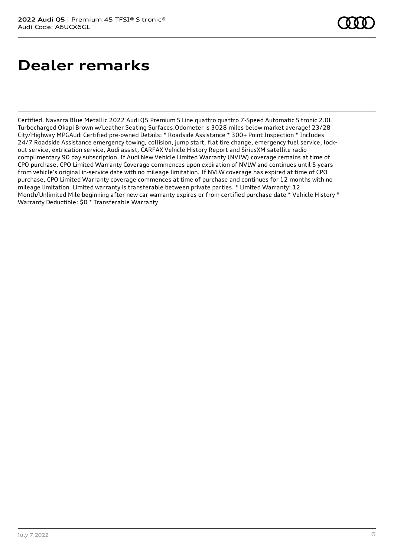### **Dealer remarks**

Certified. Navarra Blue Metallic 2022 Audi Q5 Premium S Line quattro quattro 7-Speed Automatic S tronic 2.0L Turbocharged Okapi Brown w/Leather Seating Surfaces.Odometer is 3028 miles below market average! 23/28 City/Highway MPGAudi Certified pre-owned Details: \* Roadside Assistance \* 300+ Point Inspection \* Includes 24/7 Roadside Assistance emergency towing, collision, jump start, flat tire change, emergency fuel service, lockout service, extrication service, Audi assist, CARFAX Vehicle History Report and SiriusXM satellite radio complimentary 90 day subscription. If Audi New Vehicle Limited Warranty (NVLW) coverage remains at time of CPO purchase, CPO Limited Warranty Coverage commences upon expiration of NVLW and continues until 5 years from vehicle's original in-service date with no mileage limitation. If NVLW coverage has expired at time of CPO purchase, CPO Limited Warranty coverage commences at time of purchase and continues for 12 months with no mileage limitation. Limited warranty is transferable between private parties. \* Limited Warranty: 12 Month/Unlimited Mile beginning after new car warranty expires or from certified purchase date \* Vehicle History \* Warranty Deductible: \$0 \* Transferable Warranty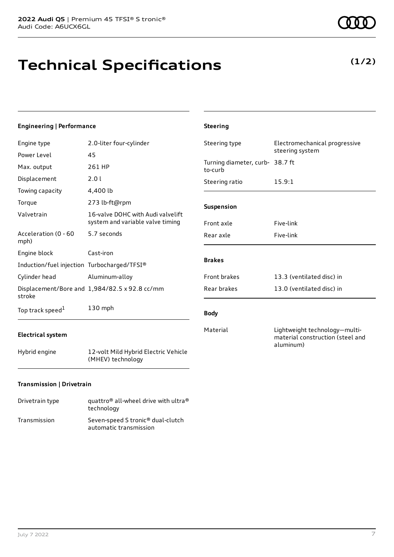# **Technical Specifications**

### **Engineering | Performance**

| Engine type                                 | 2.0-liter four-cylinder                                               |
|---------------------------------------------|-----------------------------------------------------------------------|
| Power Level                                 | 45                                                                    |
| Max. output                                 | 261 HP                                                                |
| Displacement                                | 2.0 l                                                                 |
| Towing capacity                             | 4,400 lb                                                              |
| Torque                                      | 273 lb-ft@rpm                                                         |
| Valvetrain                                  | 16-valve DOHC with Audi valvelift<br>system and variable valve timing |
| Acceleration (0 - 60<br>mph)                | 5.7 seconds                                                           |
| Engine block                                | Cast-iron                                                             |
| Induction/fuel injection Turbocharged/TFSI® |                                                                       |
| Cylinder head                               | Aluminum-alloy                                                        |
| stroke                                      | Displacement/Bore and 1,984/82.5 x 92.8 cc/mm                         |
| Top track speed <sup>1</sup>                | $130$ mph                                                             |

### **Electrical system**

Hybrid engine 12-volt Mild Hybrid Electric Vehicle (MHEV) technology

### **Transmission | Drivetrain**

| Drivetrain type | quattro <sup>®</sup> all-wheel drive with ultra <sup>®</sup><br>technology |
|-----------------|----------------------------------------------------------------------------|
| Transmission    | Seven-speed S tronic <sup>®</sup> dual-clutch<br>automatic transmission    |

| <b>Steering</b>                            |                                                                                |
|--------------------------------------------|--------------------------------------------------------------------------------|
| Steering type                              | Electromechanical progressive<br>steering system                               |
| Turning diameter, curb- 38.7 ft<br>to-curb |                                                                                |
| Steering ratio                             | 15.9:1                                                                         |
| <b>Suspension</b>                          |                                                                                |
| Front axle                                 | Five-link                                                                      |
| Rear axle                                  | Five-link                                                                      |
| <b>Brakes</b>                              |                                                                                |
| <b>Front brakes</b>                        | 13.3 (ventilated disc) in                                                      |
| Rear brakes                                | 13.0 (ventilated disc) in                                                      |
| <b>Body</b>                                |                                                                                |
| Material                                   | Lightweight technology-multi-<br>material construction (steel and<br>aluminum) |

### **(1/2)**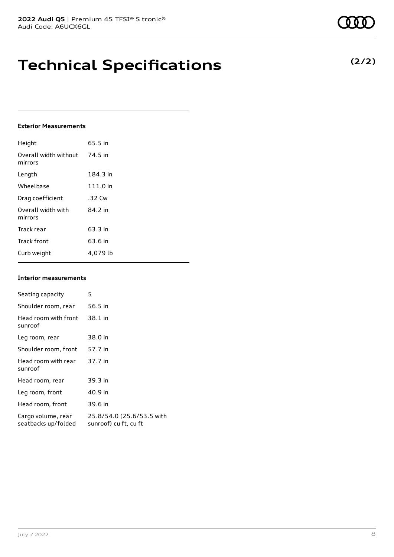**Technical Specifications**

Height 65.5 in

**Exterior Measurements**

| Overall width without<br>mirrors | 74.5 in  |
|----------------------------------|----------|
| Length                           | 184.3 in |
| Wheelbase                        | 111.0 in |
| Drag coefficient                 | .32 Cw   |
| Overall width with<br>mirrors    | 84.2 in  |
| Track rear                       | 63.3 in  |
| <b>Track front</b>               | 63.6 in  |
| Curb weight                      | 4,079 lb |
|                                  |          |

#### **Interior measurements**

| Seating capacity                          | 5                                                  |
|-------------------------------------------|----------------------------------------------------|
| Shoulder room, rear                       | 56.5 in                                            |
| Head room with front<br>sunroof           | 38.1 in                                            |
| Leg room, rear                            | 38.0 in                                            |
| Shoulder room, front                      | 57.7 in                                            |
| Head room with rear<br>sunroof            | 37.7 in                                            |
| Head room, rear                           | 39.3 in                                            |
| Leg room, front                           | 40.9 in                                            |
| Head room, front                          | 39.6 in                                            |
| Cargo volume, rear<br>seatbacks up/folded | 25.8/54.0 (25.6/53.5 with<br>sunroof) cu ft, cu ft |
|                                           |                                                    |

### **(2/2)**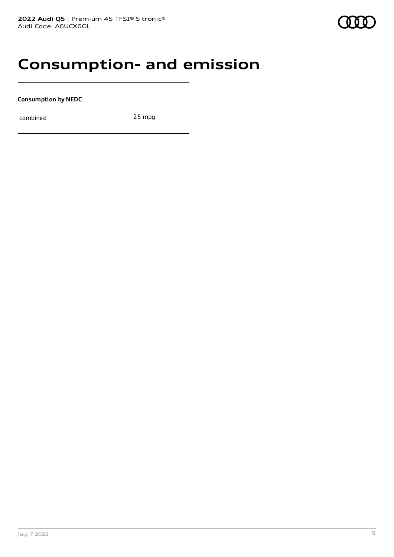### **Consumption- and emission**

**Consumption by NEDC**

combined 25 mpg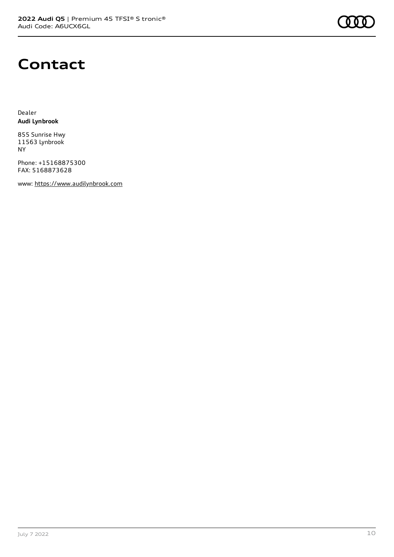

### **Contact**

Dealer **Audi Lynbrook**

855 Sunrise Hwy 11563 Lynbrook NY

Phone: +15168875300 FAX: 5168873628

www: [https://www.audilynbrook.com](https://www.audilynbrook.com/)